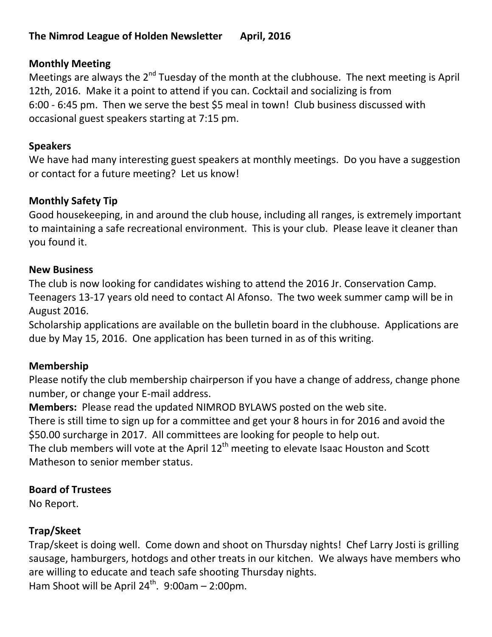## **The Nimrod League of Holden Newsletter April, 2016**

## **Monthly Meeting**

Meetings are always the 2<sup>nd</sup> Tuesday of the month at the clubhouse. The next meeting is April 12th, 2016. Make it a point to attend if you can. Cocktail and socializing is from 6:00 - 6:45 pm. Then we serve the best \$5 meal in town! Club business discussed with occasional guest speakers starting at 7:15 pm.

## **Speakers**

We have had many interesting guest speakers at monthly meetings. Do you have a suggestion or contact for a future meeting? Let us know!

## **Monthly Safety Tip**

Good housekeeping, in and around the club house, including all ranges, is extremely important to maintaining a safe recreational environment. This is your club. Please leave it cleaner than you found it.

#### **New Business**

The club is now looking for candidates wishing to attend the 2016 Jr. Conservation Camp. Teenagers 13-17 years old need to contact Al Afonso. The two week summer camp will be in August 2016.

Scholarship applications are available on the bulletin board in the clubhouse. Applications are due by May 15, 2016. One application has been turned in as of this writing.

## **Membership**

Please notify the club membership chairperson if you have a change of address, change phone number, or change your E-mail address.

**Members:** Please read the updated NIMROD BYLAWS posted on the web site.

There is still time to sign up for a committee and get your 8 hours in for 2016 and avoid the \$50.00 surcharge in 2017. All committees are looking for people to help out.

The club members will vote at the April  $12<sup>th</sup>$  meeting to elevate Isaac Houston and Scott Matheson to senior member status.

# **Board of Trustees**

No Report.

## **Trap/Skeet**

Trap/skeet is doing well. Come down and shoot on Thursday nights! Chef Larry Josti is grilling sausage, hamburgers, hotdogs and other treats in our kitchen. We always have members who are willing to educate and teach safe shooting Thursday nights. Ham Shoot will be April  $24^{th}$ . 9:00am - 2:00pm.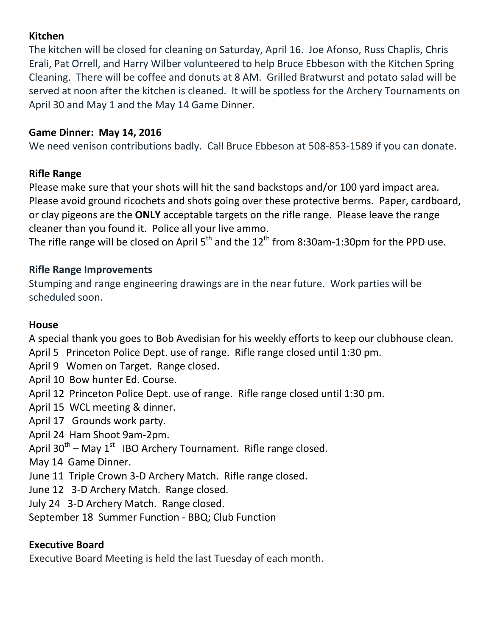## **Kitchen**

The kitchen will be closed for cleaning on Saturday, April 16. Joe Afonso, Russ Chaplis, Chris Erali, Pat Orrell, and Harry Wilber volunteered to help Bruce Ebbeson with the Kitchen Spring Cleaning. There will be coffee and donuts at 8 AM. Grilled Bratwurst and potato salad will be served at noon after the kitchen is cleaned. It will be spotless for the Archery Tournaments on April 30 and May 1 and the May 14 Game Dinner.

## **Game Dinner: May 14, 2016**

We need venison contributions badly. Call Bruce Ebbeson at 508-853-1589 if you can donate.

## **Rifle Range**

Please make sure that your shots will hit the sand backstops and/or 100 yard impact area. Please avoid ground ricochets and shots going over these protective berms. Paper, cardboard, or clay pigeons are the **ONLY** acceptable targets on the rifle range. Please leave the range cleaner than you found it. Police all your live ammo.

The rifle range will be closed on April  $5<sup>th</sup>$  and the  $12<sup>th</sup>$  from 8:30am-1:30pm for the PPD use.

## **Rifle Range Improvements**

Stumping and range engineering drawings are in the near future. Work parties will be scheduled soon.

## **House**

A special thank you goes to Bob Avedisian for his weekly efforts to keep our clubhouse clean.

- April 5 Princeton Police Dept. use of range. Rifle range closed until 1:30 pm.
- April 9 Women on Target. Range closed.
- April 10 Bow hunter Ed. Course.
- April 12 Princeton Police Dept. use of range. Rifle range closed until 1:30 pm.
- April 15 WCL meeting & dinner.
- April 17 Grounds work party.
- April 24 Ham Shoot 9am-2pm.
- April 30<sup>th</sup> May 1<sup>st</sup> IBO Archery Tournament. Rifle range closed.
- May 14 Game Dinner.
- June 11 Triple Crown 3-D Archery Match. Rifle range closed.
- June 12 3-D Archery Match. Range closed.
- July 24 3-D Archery Match. Range closed.
- September 18 Summer Function BBQ; Club Function

# **Executive Board**

Executive Board Meeting is held the last Tuesday of each month.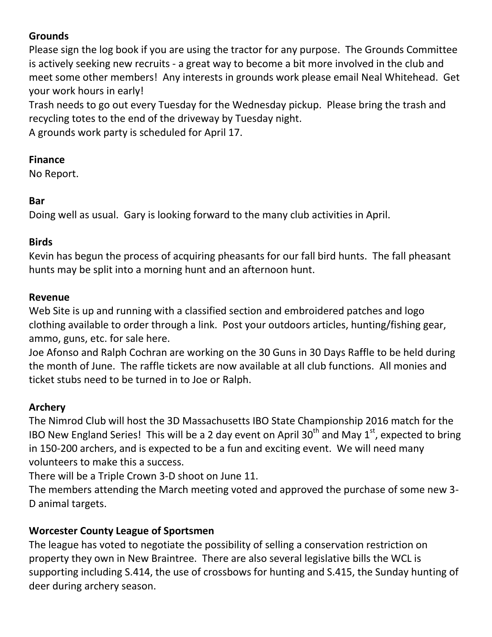# **Grounds**

Please sign the log book if you are using the tractor for any purpose. The Grounds Committee is actively seeking new recruits - a great way to become a bit more involved in the club and meet some other members! Any interests in grounds work please email Neal Whitehead. Get your work hours in early!

Trash needs to go out every Tuesday for the Wednesday pickup. Please bring the trash and recycling totes to the end of the driveway by Tuesday night.

A grounds work party is scheduled for April 17.

#### **Finance**

No Report.

## **Bar**

Doing well as usual. Gary is looking forward to the many club activities in April.

#### **Birds**

Kevin has begun the process of acquiring pheasants for our fall bird hunts. The fall pheasant hunts may be split into a morning hunt and an afternoon hunt.

#### **Revenue**

Web Site is up and running with a classified section and embroidered patches and logo clothing available to order through a link. Post your outdoors articles, hunting/fishing gear, ammo, guns, etc. for sale here.

Joe Afonso and Ralph Cochran are working on the 30 Guns in 30 Days Raffle to be held during the month of June. The raffle tickets are now available at all club functions. All monies and ticket stubs need to be turned in to Joe or Ralph.

## **Archery**

The Nimrod Club will host the 3D Massachusetts IBO State Championship 2016 match for the IBO New England Series! This will be a 2 day event on April 30<sup>th</sup> and May 1<sup>st</sup>, expected to bring in 150-200 archers, and is expected to be a fun and exciting event. We will need many volunteers to make this a success.

There will be a Triple Crown 3-D shoot on June 11.

The members attending the March meeting voted and approved the purchase of some new 3- D animal targets.

## **Worcester County League of Sportsmen**

The league has voted to negotiate the possibility of selling a conservation restriction on property they own in New Braintree. There are also several legislative bills the WCL is supporting including S.414, the use of crossbows for hunting and S.415, the Sunday hunting of deer during archery season.